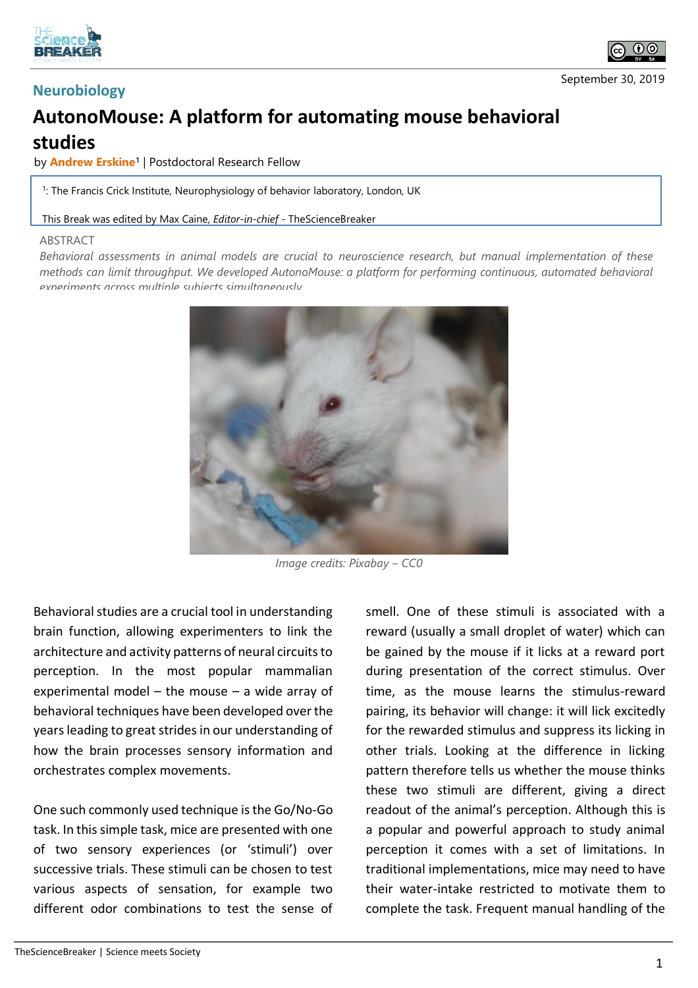



## **AutonoMouse: A platform for automating mouse behavioral studies**

by **Andrew Erskine<sup>1</sup>** | Postdoctoral Research Fellow

1 : The Francis Crick Institute, Neurophysiology of behavior laboratory, London, UK

This Break was edited by Max Caine, *Editor-in-chief* - TheScienceBreaker

## **ABSTRACT**

*Behavioral assessments in animal models are crucial to neuroscience research, but manual implementation of these methods can limit throughput. We developed AutonoMouse: a platform for performing continuous, automated behavioral experiments across multiple subjects simultaneously.*



*Image credits: Pixabay – CC0*

Behavioral studies are a crucial tool in understanding brain function, allowing experimenters to link the architecture and activity patterns of neural circuits to perception. In the most popular mammalian experimental model – the mouse – a wide array of behavioral techniques have been developed over the years leading to great strides in our understanding of how the brain processes sensory information and orchestrates complex movements.

One such commonly used technique is the Go/No-Go task. In this simple task, mice are presented with one of two sensory experiences (or 'stimuli') over successive trials. These stimuli can be chosen to test various aspects of sensation, for example two different odor combinations to test the sense of smell. One of these stimuli is associated with a reward (usually a small droplet of water) which can be gained by the mouse if it licks at a reward port during presentation of the correct stimulus. Over time, as the mouse learns the stimulus-reward pairing, its behavior will change: it will lick excitedly for the rewarded stimulus and suppress its licking in other trials. Looking at the difference in licking pattern therefore tells us whether the mouse thinks these two stimuli are different, giving a direct readout of the animal's perception. Although this is a popular and powerful approach to study animal perception it comes with a set of limitations. In traditional implementations, mice may need to have their water-intake restricted to motivate them to complete the task. Frequent manual handling of the